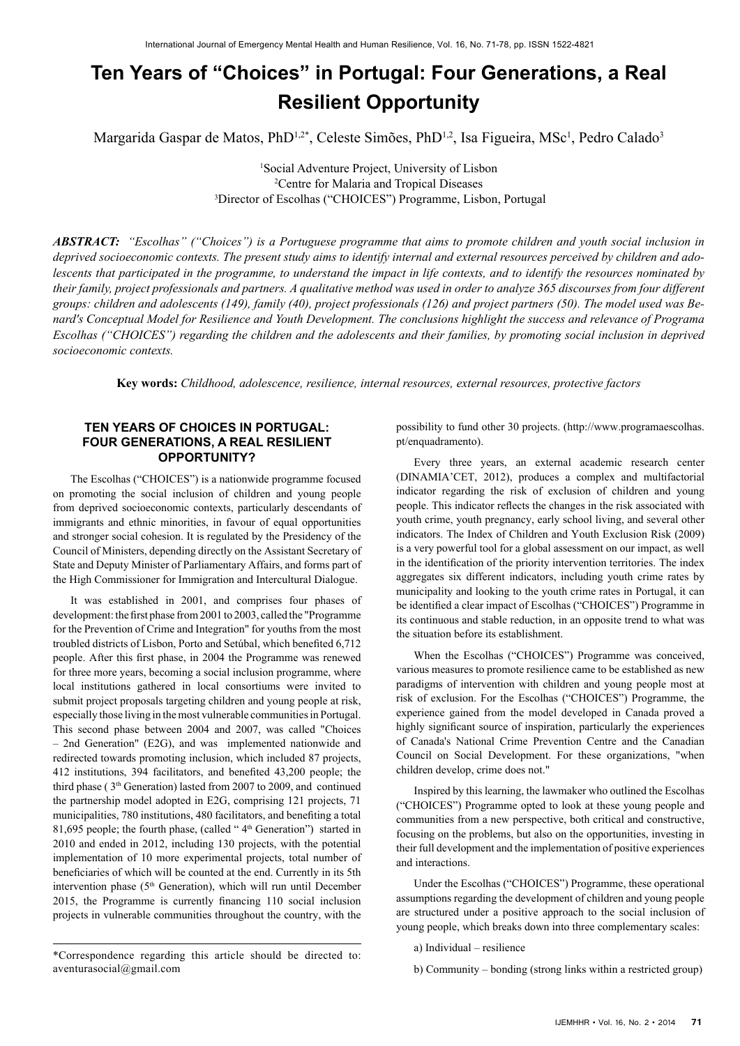# **Ten Years of "Choices" in Portugal: Four Generations, a Real Resilient Opportunity**

Margarida Gaspar de Matos, PhD<sup>1,2\*</sup>, Celeste Simões, PhD<sup>1,2</sup>, Isa Figueira, MSc<sup>1</sup>, Pedro Calado<sup>3</sup>

1 Social Adventure Project, University of Lisbon 2 Centre for Malaria and Tropical Diseases 3 Director of Escolhas ("CHOICES") Programme, Lisbon, Portugal

*ABSTRACT: "Escolhas" ("Choices") is a Portuguese programme that aims to promote children and youth social inclusion in deprived socioeconomic contexts. The present study aims to identify internal and external resources perceived by children and adolescents that participated in the programme, to understand the impact in life contexts, and to identify the resources nominated by their family, project professionals and partners. A qualitative method was used in order to analyze 365 discourses from four different groups: children and adolescents (149), family (40), project professionals (126) and project partners (50). The model used was Benard's Conceptual Model for Resilience and Youth Development. The conclusions highlight the success and relevance of Programa Escolhas ("CHOICES") regarding the children and the adolescents and their families, by promoting social inclusion in deprived socioeconomic contexts.* 

**Key words:** *Childhood, adolescence, resilience, internal resources, external resources, protective factors*

# **TEN YEARS OF CHOICES IN PORTUGAL: FOUR GENERATIONS, A REAL RESILIENT OPPORTUNITY?**

The Escolhas ("CHOICES") is a nationwide programme focused on promoting the social inclusion of children and young people from deprived socioeconomic contexts, particularly descendants of immigrants and ethnic minorities, in favour of equal opportunities and stronger social cohesion. It is regulated by the Presidency of the Council of Ministers, depending directly on the Assistant Secretary of State and Deputy Minister of Parliamentary Affairs, and forms part of the High Commissioner for Immigration and Intercultural Dialogue.

It was established in 2001, and comprises four phases of development: the first phase from 2001 to 2003, called the "Programme for the Prevention of Crime and Integration" for youths from the most troubled districts of Lisbon, Porto and Setúbal, which benefited 6,712 people. After this first phase, in 2004 the Programme was renewed for three more years, becoming a social inclusion programme, where local institutions gathered in local consortiums were invited to submit project proposals targeting children and young people at risk, especially those living in the most vulnerable communities in Portugal. This second phase between 2004 and 2007, was called "Choices – 2nd Generation" (E2G), and was implemented nationwide and redirected towards promoting inclusion, which included 87 projects, 412 institutions, 394 facilitators, and benefited 43,200 people; the third phase ( $3<sup>th</sup>$  Generation) lasted from 2007 to 2009, and continued the partnership model adopted in E2G, comprising 121 projects, 71 municipalities, 780 institutions, 480 facilitators, and benefiting a total 81,695 people; the fourth phase, (called " $4<sup>th</sup>$  Generation") started in 2010 and ended in 2012, including 130 projects, with the potential implementation of 10 more experimental projects, total number of beneficiaries of which will be counted at the end. Currently in its 5th intervention phase (5<sup>th</sup> Generation), which will run until December 2015, the Programme is currently financing 110 social inclusion projects in vulnerable communities throughout the country, with the

possibility to fund other 30 projects. ([http://www.programaescolhas.](http://www.programaescolhas.pt/enquadramento) [pt/enquadramento\)](http://www.programaescolhas.pt/enquadramento).

Every three years, an external academic research center (DINAMIA'CET, 2012), produces a complex and multifactorial indicator regarding the risk of exclusion of children and young people. This indicator reflects the changes in the risk associated with youth crime, youth pregnancy, early school living, and several other indicators. The Index of Children and Youth Exclusion Risk (2009) is a very powerful tool for a global assessment on our impact, as well in the identification of the priority intervention territories. The index aggregates six different indicators, including youth crime rates by municipality and looking to the youth crime rates in Portugal, it can be identified a clear impact of Escolhas ("CHOICES") Programme in its continuous and stable reduction, in an opposite trend to what was the situation before its establishment.

When the Escolhas ("CHOICES") Programme was conceived, various measures to promote resilience came to be established as new paradigms of intervention with children and young people most at risk of exclusion. For the Escolhas ("CHOICES") Programme, the experience gained from the model developed in Canada proved a highly significant source of inspiration, particularly the experiences of Canada's National Crime Prevention Centre and the Canadian Council on Social Development. For these organizations, "when children develop, crime does not."

Inspired by this learning, the lawmaker who outlined the Escolhas ("CHOICES") Programme opted to look at these young people and communities from a new perspective, both critical and constructive, focusing on the problems, but also on the opportunities, investing in their full development and the implementation of positive experiences and interactions.

Under the Escolhas ("CHOICES") Programme, these operational assumptions regarding the development of children and young people are structured under a positive approach to the social inclusion of young people, which breaks down into three complementary scales:

a) Individual – resilience

b) Community – bonding (strong links within a restricted group)

<sup>\*</sup>Correspondence regarding this article should be directed to: [aventurasocial@gmail.com](mailto:aventurasocial@gmail.com)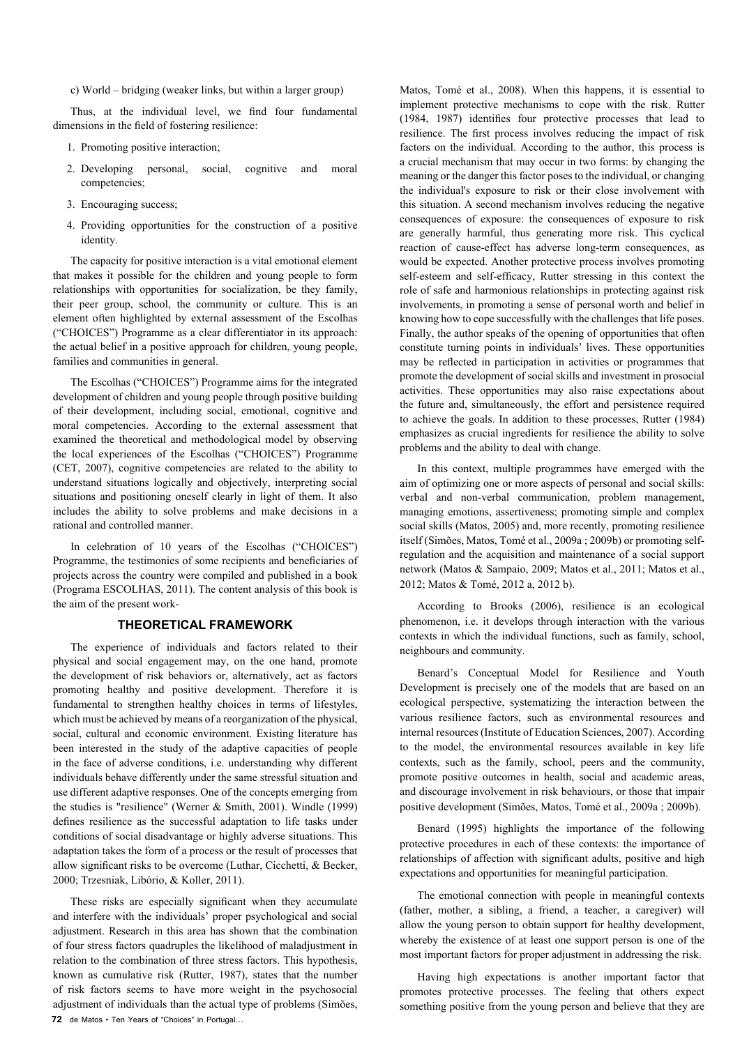c) World – bridging (weaker links, but within a larger group)

Thus, at the individual level, we find four fundamental dimensions in the field of fostering resilience:

- 1. Promoting positive interaction;
- 2. Developing personal, social, cognitive and moral competencies;
- 3. Encouraging success;
- 4. Providing opportunities for the construction of a positive identity.

The capacity for positive interaction is a vital emotional element that makes it possible for the children and young people to form relationships with opportunities for socialization, be they family, their peer group, school, the community or culture. This is an element often highlighted by external assessment of the Escolhas ("CHOICES") Programme as a clear differentiator in its approach: the actual belief in a positive approach for children, young people, families and communities in general.

The Escolhas ("CHOICES") Programme aims for the integrated development of children and young people through positive building of their development, including social, emotional, cognitive and moral competencies. According to the external assessment that examined the theoretical and methodological model by observing the local experiences of the Escolhas ("CHOICES") Programme (CET, 2007), cognitive competencies are related to the ability to understand situations logically and objectively, interpreting social situations and positioning oneself clearly in light of them. It also includes the ability to solve problems and make decisions in a rational and controlled manner.

In celebration of 10 years of the Escolhas ("CHOICES") Programme, the testimonies of some recipients and beneficiaries of projects across the country were compiled and published in a book (Programa ESCOLHAS, 2011). The content analysis of this book is the aim of the present work-

# **THEORETICAL FRAMEWORK**

The experience of individuals and factors related to their physical and social engagement may, on the one hand, promote the development of risk behaviors or, alternatively, act as factors promoting healthy and positive development. Therefore it is fundamental to strengthen healthy choices in terms of lifestyles, which must be achieved by means of a reorganization of the physical, social, cultural and economic environment. Existing literature has been interested in the study of the adaptive capacities of people in the face of adverse conditions, i.e. understanding why different individuals behave differently under the same stressful situation and use different adaptive responses. One of the concepts emerging from the studies is "resilience" (Werner & Smith, 2001). Windle (1999) defines resilience as the successful adaptation to life tasks under conditions of social disadvantage or highly adverse situations. This adaptation takes the form of a process or the result of processes that allow significant risks to be overcome (Luthar, Cicchetti, & Becker, 2000; Trzesniak, Libório, & Koller, 2011).

**72** de Matos • Ten Years of "Choices" in Portugal... These risks are especially significant when they accumulate and interfere with the individuals' proper psychological and social adjustment. Research in this area has shown that the combination of four stress factors quadruples the likelihood of maladjustment in relation to the combination of three stress factors. This hypothesis, known as cumulative risk (Rutter, 1987), states that the number of risk factors seems to have more weight in the psychosocial adjustment of individuals than the actual type of problems (Simões,

Matos, Tomé et al., 2008). When this happens, it is essential to implement protective mechanisms to cope with the risk. Rutter (1984, 1987) identifies four protective processes that lead to resilience. The first process involves reducing the impact of risk factors on the individual. According to the author, this process is a crucial mechanism that may occur in two forms: by changing the meaning or the danger this factor poses to the individual, or changing the individual's exposure to risk or their close involvement with this situation. A second mechanism involves reducing the negative consequences of exposure: the consequences of exposure to risk are generally harmful, thus generating more risk. This cyclical reaction of cause-effect has adverse long-term consequences, as would be expected. Another protective process involves promoting self-esteem and self-efficacy, Rutter stressing in this context the role of safe and harmonious relationships in protecting against risk involvements, in promoting a sense of personal worth and belief in knowing how to cope successfully with the challenges that life poses. Finally, the author speaks of the opening of opportunities that often constitute turning points in individuals' lives. These opportunities may be reflected in participation in activities or programmes that promote the development of social skills and investment in prosocial activities. These opportunities may also raise expectations about the future and, simultaneously, the effort and persistence required to achieve the goals. In addition to these processes, Rutter (1984) emphasizes as crucial ingredients for resilience the ability to solve problems and the ability to deal with change.

In this context, multiple programmes have emerged with the aim of optimizing one or more aspects of personal and social skills: verbal and non-verbal communication, problem management, managing emotions, assertiveness; promoting simple and complex social skills (Matos, 2005) and, more recently, promoting resilience itself (Simões, Matos, Tomé et al., 2009a ; 2009b) or promoting selfregulation and the acquisition and maintenance of a social support network (Matos & Sampaio, 2009; Matos et al., 2011; Matos et al., 2012; Matos & Tomé, 2012 a, 2012 b).

According to Brooks (2006), resilience is an ecological phenomenon, i.e. it develops through interaction with the various contexts in which the individual functions, such as family, school, neighbours and community.

Benard's Conceptual Model for Resilience and Youth Development is precisely one of the models that are based on an ecological perspective, systematizing the interaction between the various resilience factors, such as environmental resources and internal resources (Institute of Education Sciences, 2007). According to the model, the environmental resources available in key life contexts, such as the family, school, peers and the community, promote positive outcomes in health, social and academic areas, and discourage involvement in risk behaviours, or those that impair positive development (Simões, Matos, Tomé et al., 2009a ; 2009b).

Benard (1995) highlights the importance of the following protective procedures in each of these contexts: the importance of relationships of affection with significant adults, positive and high expectations and opportunities for meaningful participation.

The emotional connection with people in meaningful contexts (father, mother, a sibling, a friend, a teacher, a caregiver) will allow the young person to obtain support for healthy development, whereby the existence of at least one support person is one of the most important factors for proper adjustment in addressing the risk.

Having high expectations is another important factor that promotes protective processes. The feeling that others expect something positive from the young person and believe that they are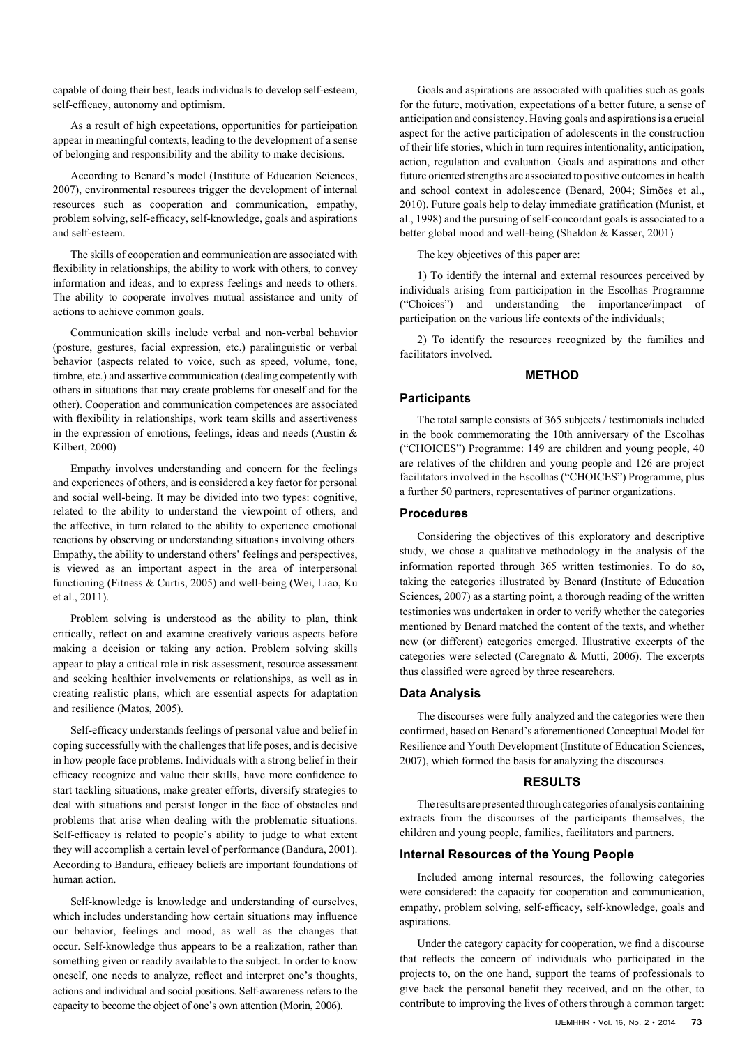capable of doing their best, leads individuals to develop self-esteem, self-efficacy, autonomy and optimism.

As a result of high expectations, opportunities for participation appear in meaningful contexts, leading to the development of a sense of belonging and responsibility and the ability to make decisions.

According to Benard's model (Institute of Education Sciences, 2007), environmental resources trigger the development of internal resources such as cooperation and communication, empathy, problem solving, self-efficacy, self-knowledge, goals and aspirations and self-esteem.

The skills of cooperation and communication are associated with flexibility in relationships, the ability to work with others, to convey information and ideas, and to express feelings and needs to others. The ability to cooperate involves mutual assistance and unity of actions to achieve common goals.

Communication skills include verbal and non-verbal behavior (posture, gestures, facial expression, etc.) paralinguistic or verbal behavior (aspects related to voice, such as speed, volume, tone, timbre, etc.) and assertive communication (dealing competently with others in situations that may create problems for oneself and for the other). Cooperation and communication competences are associated with flexibility in relationships, work team skills and assertiveness in the expression of emotions, feelings, ideas and needs (Austin  $\&$ Kilbert, 2000)

Empathy involves understanding and concern for the feelings and experiences of others, and is considered a key factor for personal and social well-being. It may be divided into two types: cognitive, related to the ability to understand the viewpoint of others, and the affective, in turn related to the ability to experience emotional reactions by observing or understanding situations involving others. Empathy, the ability to understand others' feelings and perspectives, is viewed as an important aspect in the area of interpersonal functioning (Fitness & Curtis, 2005) and well-being (Wei, Liao, Ku et al., 2011).

Problem solving is understood as the ability to plan, think critically, reflect on and examine creatively various aspects before making a decision or taking any action. Problem solving skills appear to play a critical role in risk assessment, resource assessment and seeking healthier involvements or relationships, as well as in creating realistic plans, which are essential aspects for adaptation and resilience (Matos, 2005).

Self-efficacy understands feelings of personal value and belief in coping successfully with the challenges that life poses, and is decisive in how people face problems. Individuals with a strong belief in their efficacy recognize and value their skills, have more confidence to start tackling situations, make greater efforts, diversify strategies to deal with situations and persist longer in the face of obstacles and problems that arise when dealing with the problematic situations. Self-efficacy is related to people's ability to judge to what extent they will accomplish a certain level of performance (Bandura, 2001). According to Bandura, efficacy beliefs are important foundations of human action.

Self-knowledge is knowledge and understanding of ourselves, which includes understanding how certain situations may influence our behavior, feelings and mood, as well as the changes that occur. Self-knowledge thus appears to be a realization, rather than something given or readily available to the subject. In order to know oneself, one needs to analyze, reflect and interpret one's thoughts, actions and individual and social positions. Self-awareness refers to the capacity to become the object of one's own attention (Morin, 2006).

Goals and aspirations are associated with qualities such as goals for the future, motivation, expectations of a better future, a sense of anticipation and consistency. Having goals and aspirations is a crucial aspect for the active participation of adolescents in the construction of their life stories, which in turn requires intentionality, anticipation, action, regulation and evaluation. Goals and aspirations and other future oriented strengths are associated to positive outcomes in health and school context in adolescence (Benard, 2004; Simões et al., 2010). Future goals help to delay immediate gratification (Munist, et al., 1998) and the pursuing of self-concordant goals is associated to a better global mood and well-being (Sheldon & Kasser, 2001)

The key objectives of this paper are:

1) To identify the internal and external resources perceived by individuals arising from participation in the Escolhas Programme ("Choices") and understanding the importance/impact of participation on the various life contexts of the individuals;

2) To identify the resources recognized by the families and facilitators involved.

#### **METHOD**

#### **Participants**

The total sample consists of 365 subjects / testimonials included in the book commemorating the 10th anniversary of the Escolhas ("CHOICES") Programme: 149 are children and young people, 40 are relatives of the children and young people and 126 are project facilitators involved in the Escolhas ("CHOICES") Programme, plus a further 50 partners, representatives of partner organizations.

# **Procedures**

Considering the objectives of this exploratory and descriptive study, we chose a qualitative methodology in the analysis of the information reported through 365 written testimonies. To do so, taking the categories illustrated by Benard (Institute of Education Sciences, 2007) as a starting point, a thorough reading of the written testimonies was undertaken in order to verify whether the categories mentioned by Benard matched the content of the texts, and whether new (or different) categories emerged. Illustrative excerpts of the categories were selected (Caregnato & Mutti, 2006). The excerpts thus classified were agreed by three researchers.

## **Data Analysis**

The discourses were fully analyzed and the categories were then confirmed, based on Benard's aforementioned Conceptual Model for Resilience and Youth Development (Institute of Education Sciences, 2007), which formed the basis for analyzing the discourses.

# **RESULTS**

The results are presented through categories of analysis containing extracts from the discourses of the participants themselves, the children and young people, families, facilitators and partners.

# **Internal Resources of the Young People**

Included among internal resources, the following categories were considered: the capacity for cooperation and communication, empathy, problem solving, self-efficacy, self-knowledge, goals and aspirations.

Under the category capacity for cooperation, we find a discourse that reflects the concern of individuals who participated in the projects to, on the one hand, support the teams of professionals to give back the personal benefit they received, and on the other, to contribute to improving the lives of others through a common target: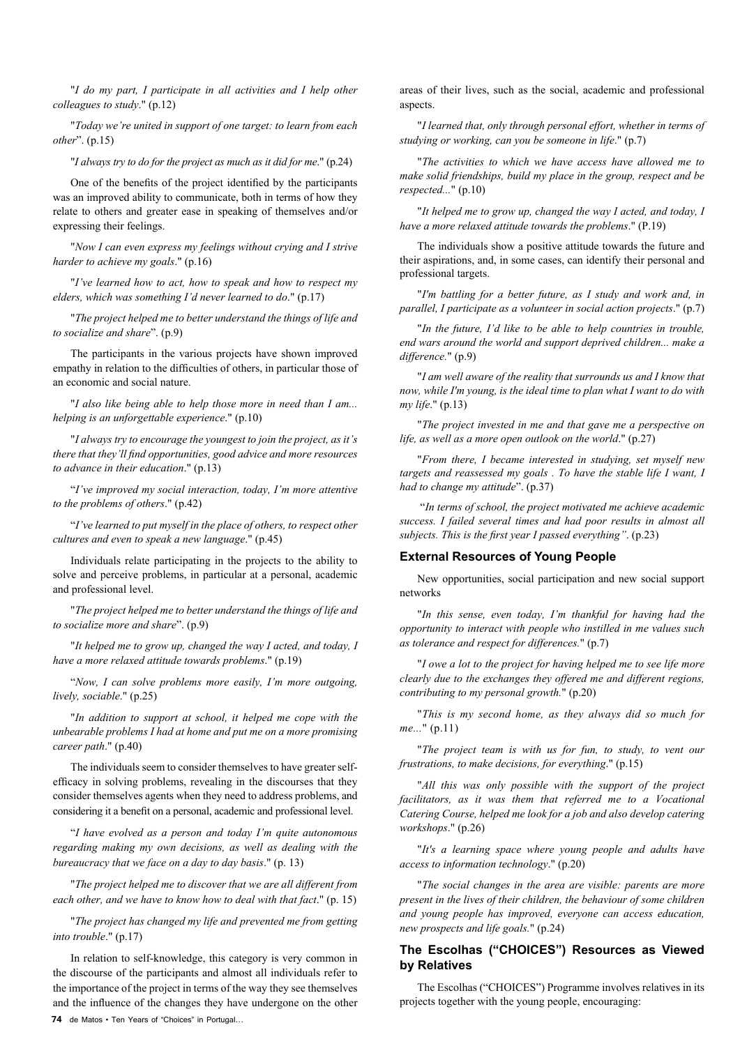"*I do my part, I participate in all activities and I help other colleagues to study*." (p.12)

"*Today we're united in support of one target: to learn from each other*". (p.15)

"*I always try to do for the project as much as it did for me*." (p.24)

One of the benefits of the project identified by the participants was an improved ability to communicate, both in terms of how they relate to others and greater ease in speaking of themselves and/or expressing their feelings.

"*Now I can even express my feelings without crying and I strive harder to achieve my goals*." (p.16)

"*I've learned how to act, how to speak and how to respect my elders, which was something I'd never learned to do*." (p.17)

"*The project helped me to better understand the things of life and to socialize and share*". (p.9)

The participants in the various projects have shown improved empathy in relation to the difficulties of others, in particular those of an economic and social nature.

"*I also like being able to help those more in need than I am... helping is an unforgettable experience*." (p.10)

"*I always try to encourage the youngest to join the project, as it's there that they'll find opportunities, good advice and more resources to advance in their education*." (p.13)

"*I've improved my social interaction, today, I'm more attentive to the problems of others*." (p.42)

"*I've learned to put myself in the place of others, to respect other cultures and even to speak a new language*." (p.45)

Individuals relate participating in the projects to the ability to solve and perceive problems, in particular at a personal, academic and professional level.

"*The project helped me to better understand the things of life and to socialize more and share*". (p.9)

"*It helped me to grow up, changed the way I acted, and today, I have a more relaxed attitude towards problems*." (p.19)

"*Now, I can solve problems more easily, I'm more outgoing, lively, sociable*." (p.25)

"*In addition to support at school, it helped me cope with the unbearable problems I had at home and put me on a more promising career path*." (p.40)

The individuals seem to consider themselves to have greater selfefficacy in solving problems, revealing in the discourses that they consider themselves agents when they need to address problems, and considering it a benefit on a personal, academic and professional level.

"*I have evolved as a person and today I'm quite autonomous regarding making my own decisions, as well as dealing with the bureaucracy that we face on a day to day basis*." (p. 13)

"*The project helped me to discover that we are all different from each other, and we have to know how to deal with that fact*." (p. 15)

"*The project has changed my life and prevented me from getting into trouble*." (p.17)

**74** de Matos • Ten Years of "Choices" in Portugal... In relation to self-knowledge, this category is very common in the discourse of the participants and almost all individuals refer to the importance of the project in terms of the way they see themselves and the influence of the changes they have undergone on the other

areas of their lives, such as the social, academic and professional aspects

"*I learned that, only through personal effort, whether in terms of studying or working, can you be someone in life*." (p.7)

"*The activities to which we have access have allowed me to make solid friendships, build my place in the group, respect and be respected...*" (p.10)

"*It helped me to grow up, changed the way I acted, and today, I have a more relaxed attitude towards the problems*." (P.19)

The individuals show a positive attitude towards the future and their aspirations, and, in some cases, can identify their personal and professional targets.

"*I'm battling for a better future, as I study and work and, in parallel, I participate as a volunteer in social action projects*." (p.7)

"*In the future, I'd like to be able to help countries in trouble, end wars around the world and support deprived children... make a difference.*" (p.9)

"*I am well aware of the reality that surrounds us and I know that now, while I'm young, is the ideal time to plan what I want to do with my life*." (p.13)

"*The project invested in me and that gave me a perspective on life, as well as a more open outlook on the world*." (p.27)

"*From there, I became interested in studying, set myself new targets and reassessed my goals . To have the stable life I want, I had to change my attitude*". (p.37)

 "*In terms of school, the project motivated me achieve academic success. I failed several times and had poor results in almost all subjects. This is the first year I passed everything"*. (p.23)

## **External Resources of Young People**

New opportunities, social participation and new social support networks

"*In this sense, even today, I'm thankful for having had the opportunity to interact with people who instilled in me values such as tolerance and respect for differences.*" (p.7)

"*I owe a lot to the project for having helped me to see life more clearly due to the exchanges they offered me and different regions, contributing to my personal growth.*" (p.20)

"*This is my second home, as they always did so much for me...*" (p.11)

"*The project team is with us for fun, to study, to vent our frustrations, to make decisions, for everything*." (p.15)

"*All this was only possible with the support of the project facilitators, as it was them that referred me to a Vocational Catering Course, helped me look for a job and also develop catering workshops*." (p.26)

"*It's a learning space where young people and adults have access to information technology*." (p.20)

"*The social changes in the area are visible: parents are more present in the lives of their children, the behaviour of some children and young people has improved, everyone can access education, new prospects and life goals.*" (p.24)

# **The Escolhas ("CHOICES") Resources as Viewed by Relatives**

The Escolhas ("CHOICES") Programme involves relatives in its projects together with the young people, encouraging: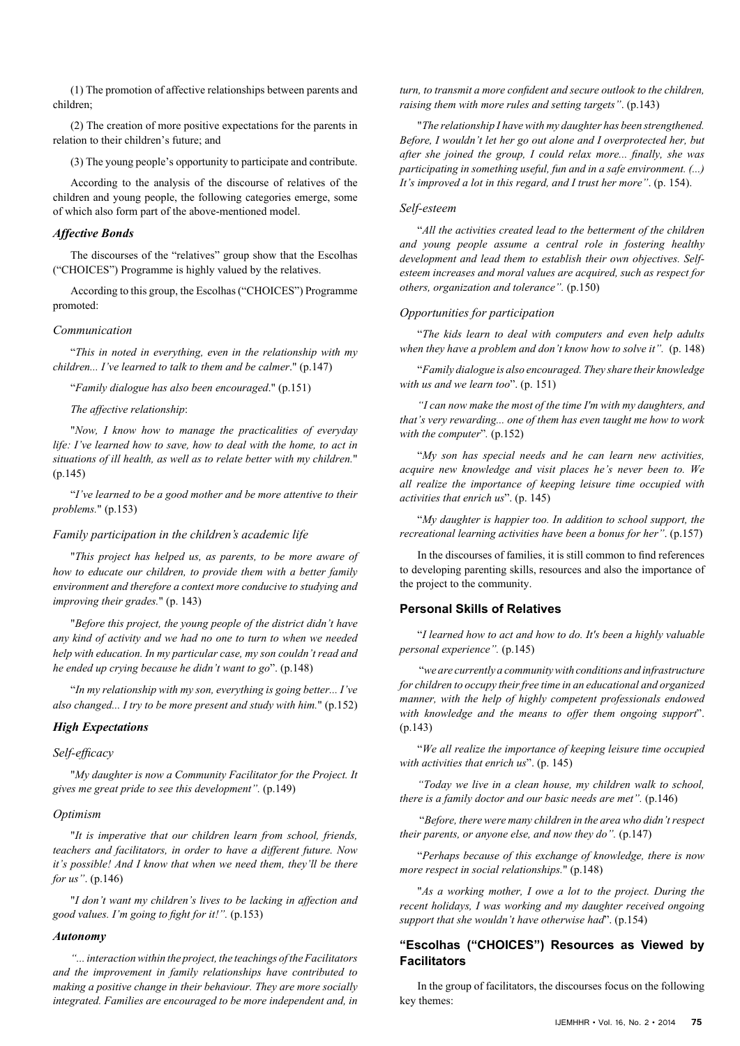(1) The promotion of affective relationships between parents and children;

(2) The creation of more positive expectations for the parents in relation to their children's future; and

(3) The young people's opportunity to participate and contribute.

According to the analysis of the discourse of relatives of the children and young people, the following categories emerge, some of which also form part of the above-mentioned model.

## *Affective Bonds*

The discourses of the "relatives" group show that the Escolhas ("CHOICES") Programme is highly valued by the relatives.

According to this group, the Escolhas ("CHOICES") Programme promoted:

#### *Communication*

"*This in noted in everything, even in the relationship with my children... I've learned to talk to them and be calmer*." (p.147)

"*Family dialogue has also been encouraged*." (p.151)

*The affective relationship*:

"*Now, I know how to manage the practicalities of everyday life: I've learned how to save, how to deal with the home, to act in situations of ill health, as well as to relate better with my children.*" (p.145)

"*I've learned to be a good mother and be more attentive to their problems.*" (p.153)

#### *Family participation in the children's academic life*

"*This project has helped us, as parents, to be more aware of how to educate our children, to provide them with a better family environment and therefore a context more conducive to studying and improving their grades.*" (p. 143)

"*Before this project, the young people of the district didn't have any kind of activity and we had no one to turn to when we needed help with education. In my particular case, my son couldn't read and he ended up crying because he didn't want to go*". (p.148)

"*In my relationship with my son, everything is going better... I've also changed... I try to be more present and study with him.*" (p.152)

## *High Expectations*

## *Self-efficacy*

"*My daughter is now a Community Facilitator for the Project. It gives me great pride to see this development".* (p.149)

## *Optimism*

"*It is imperative that our children learn from school, friends, teachers and facilitators, in order to have a different future. Now it's possible! And I know that when we need them, they'll be there for us"*. (p.146)

"*I don't want my children's lives to be lacking in affection and good values. I'm going to fight for it!".* (p.153)

#### *Autonomy*

*"... interaction within the project, the teachings of the Facilitators and the improvement in family relationships have contributed to making a positive change in their behaviour. They are more socially integrated. Families are encouraged to be more independent and, in* 

*turn, to transmit a more confident and secure outlook to the children, raising them with more rules and setting targets"*. (p.143)

"*The relationship I have with my daughter has been strengthened. Before, I wouldn't let her go out alone and I overprotected her, but after she joined the group, I could relax more... finally, she was participating in something useful, fun and in a safe environment. (...) It's improved a lot in this regard, and I trust her more"*. (p. 154).

# *Self-esteem*

"*All the activities created lead to the betterment of the children and young people assume a central role in fostering healthy development and lead them to establish their own objectives. Selfesteem increases and moral values are acquired, such as respect for others, organization and tolerance".* (p.150)

#### *Opportunities for participation*

"*The kids learn to deal with computers and even help adults*  when they have a problem and don't know how to solve it". (p. 148)

"*Family dialogue is also encouraged. They share their knowledge with us and we learn too*". (p. 151)

*"I can now make the most of the time I'm with my daughters, and that's very rewarding... one of them has even taught me how to work with the computer*"*.* (p.152)

"*My son has special needs and he can learn new activities, acquire new knowledge and visit places he's never been to. We all realize the importance of keeping leisure time occupied with activities that enrich us*". (p. 145)

"*My daughter is happier too. In addition to school support, the recreational learning activities have been a bonus for her"*. (p.157)

In the discourses of families, it is still common to find references to developing parenting skills, resources and also the importance of the project to the community.

#### **Personal Skills of Relatives**

"*I learned how to act and how to do. It's been a highly valuable personal experience".* (p.145)

"*we are currently a community with conditions and infrastructure for children to occupy their free time in an educational and organized manner, with the help of highly competent professionals endowed with knowledge and the means to offer them ongoing support*". (p.143)

"*We all realize the importance of keeping leisure time occupied with activities that enrich us*". (p. 145)

*"Today we live in a clean house, my children walk to school, there is a family doctor and our basic needs are met".* (p.146)

"*Before, there were many children in the area who didn't respect their parents, or anyone else, and now they do".* (p.147)

"*Perhaps because of this exchange of knowledge, there is now more respect in social relationships.*" (p.148)

"*As a working mother, I owe a lot to the project. During the recent holidays, I was working and my daughter received ongoing support that she wouldn't have otherwise had*". (p.154)

# **"Escolhas ("CHOICES") Resources as Viewed by Facilitators**

In the group of facilitators, the discourses focus on the following key themes: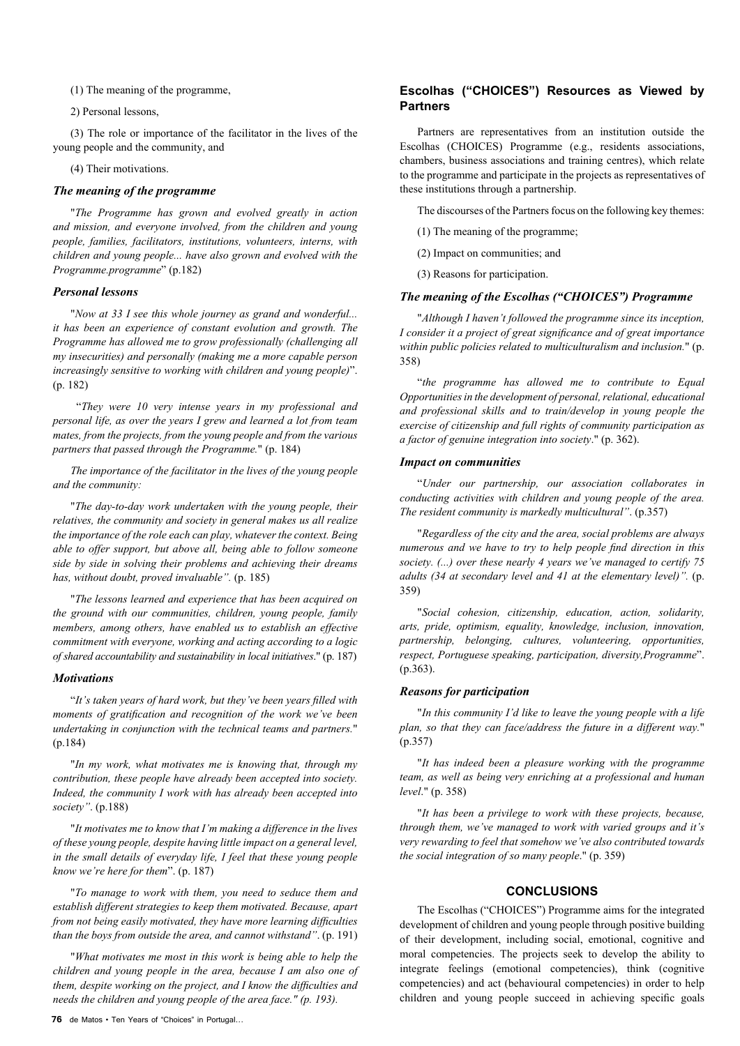(1) The meaning of the programme,

2) Personal lessons,

(3) The role or importance of the facilitator in the lives of the young people and the community, and

(4) Their motivations.

## *The meaning of the programme*

"*The Programme has grown and evolved greatly in action and mission, and everyone involved, from the children and young people, families, facilitators, institutions, volunteers, interns, with children and young people... have also grown and evolved with the Programme.programme*" (p.182)

## *Personal lessons*

"*Now at 33 I see this whole journey as grand and wonderful... it has been an experience of constant evolution and growth. The Programme has allowed me to grow professionally (challenging all my insecurities) and personally (making me a more capable person increasingly sensitive to working with children and young people)*". (p. 182)

 "*They were 10 very intense years in my professional and personal life, as over the years I grew and learned a lot from team mates, from the projects, from the young people and from the various partners that passed through the Programme.*" (p. 184)

*The importance of the facilitator in the lives of the young people and the community:* 

"*The day-to-day work undertaken with the young people, their relatives, the community and society in general makes us all realize the importance of the role each can play, whatever the context. Being able to offer support, but above all, being able to follow someone side by side in solving their problems and achieving their dreams has, without doubt, proved invaluable".* (p. 185)

"*The lessons learned and experience that has been acquired on the ground with our communities, children, young people, family members, among others, have enabled us to establish an effective commitment with everyone, working and acting according to a logic of shared accountability and sustainability in local initiatives*." (p. 187)

#### *Motivations*

"*It's taken years of hard work, but they've been years filled with moments of gratification and recognition of the work we've been undertaking in conjunction with the technical teams and partners.*" (p.184)

"*In my work, what motivates me is knowing that, through my contribution, these people have already been accepted into society. Indeed, the community I work with has already been accepted into society"*. (p.188)

"*It motivates me to know that I'm making a difference in the lives of these young people, despite having little impact on a general level, in the small details of everyday life, I feel that these young people know we're here for them*". (p. 187)

"*To manage to work with them, you need to seduce them and establish different strategies to keep them motivated. Because, apart from not being easily motivated, they have more learning difficulties than the boys from outside the area, and cannot withstand"*. (p. 191)

"*What motivates me most in this work is being able to help the children and young people in the area, because I am also one of them, despite working on the project, and I know the difficulties and needs the children and young people of the area face." (p. 193).* 

# **Escolhas ("CHOICES") Resources as Viewed by Partners**

Partners are representatives from an institution outside the Escolhas (CHOICES) Programme (e.g., residents associations, chambers, business associations and training centres), which relate to the programme and participate in the projects as representatives of these institutions through a partnership.

The discourses of the Partners focus on the following key themes:

- (1) The meaning of the programme;
- (2) Impact on communities; and

(3) Reasons for participation.

# *The meaning of the Escolhas ("CHOICES") Programme*

"*Although I haven't followed the programme since its inception, I consider it a project of great significance and of great importance within public policies related to multiculturalism and inclusion.*" (p. 358)

"*the programme has allowed me to contribute to Equal Opportunities in the development of personal, relational, educational and professional skills and to train/develop in young people the exercise of citizenship and full rights of community participation as a factor of genuine integration into society*." (p. 362).

## *Impact on communities*

"*Under our partnership, our association collaborates in conducting activities with children and young people of the area. The resident community is markedly multicultural"*. (p.357)

"*Regardless of the city and the area, social problems are always numerous and we have to try to help people find direction in this society. (...) over these nearly 4 years we've managed to certify 75 adults (34 at secondary level and 41 at the elementary level)".* (p. 359)

"*Social cohesion, citizenship, education, action, solidarity, arts, pride, optimism, equality, knowledge, inclusion, innovation, partnership, belonging, cultures, volunteering, opportunities, respect, Portuguese speaking, participation, diversity,Programme*". (p.363).

## *Reasons for participation*

"*In this community I'd like to leave the young people with a life plan, so that they can face/address the future in a different way.*" (p.357)

"*It has indeed been a pleasure working with the programme team, as well as being very enriching at a professional and human level*." (p. 358)

"*It has been a privilege to work with these projects, because, through them, we've managed to work with varied groups and it's very rewarding to feel that somehow we've also contributed towards the social integration of so many people*." (p. 359)

# **CONCLUSIONS**

The Escolhas ("CHOICES") Programme aims for the integrated development of children and young people through positive building of their development, including social, emotional, cognitive and moral competencies. The projects seek to develop the ability to integrate feelings (emotional competencies), think (cognitive competencies) and act (behavioural competencies) in order to help children and young people succeed in achieving specific goals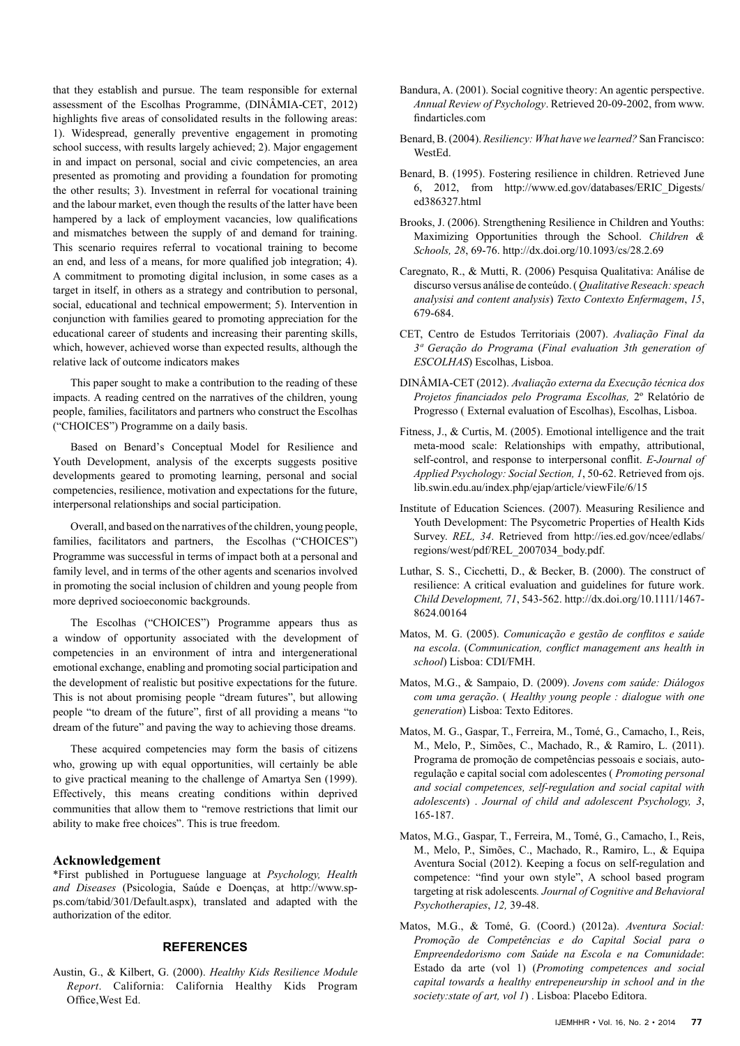that they establish and pursue. The team responsible for external assessment of the Escolhas Programme, (DINÂMIA-CET, 2012) highlights five areas of consolidated results in the following areas: 1). Widespread, generally preventive engagement in promoting school success, with results largely achieved; 2). Major engagement in and impact on personal, social and civic competencies, an area presented as promoting and providing a foundation for promoting the other results; 3). Investment in referral for vocational training and the labour market, even though the results of the latter have been hampered by a lack of employment vacancies, low qualifications and mismatches between the supply of and demand for training. This scenario requires referral to vocational training to become an end, and less of a means, for more qualified job integration; 4). A commitment to promoting digital inclusion, in some cases as a target in itself, in others as a strategy and contribution to personal, social, educational and technical empowerment; 5). Intervention in conjunction with families geared to promoting appreciation for the educational career of students and increasing their parenting skills, which, however, achieved worse than expected results, although the relative lack of outcome indicators makes

This paper sought to make a contribution to the reading of these impacts. A reading centred on the narratives of the children, young people, families, facilitators and partners who construct the Escolhas ("CHOICES") Programme on a daily basis.

Based on Benard's Conceptual Model for Resilience and Youth Development, analysis of the excerpts suggests positive developments geared to promoting learning, personal and social competencies, resilience, motivation and expectations for the future, interpersonal relationships and social participation.

Overall, and based on the narratives of the children, young people, families, facilitators and partners, the Escolhas ("CHOICES") Programme was successful in terms of impact both at a personal and family level, and in terms of the other agents and scenarios involved in promoting the social inclusion of children and young people from more deprived socioeconomic backgrounds.

The Escolhas ("CHOICES") Programme appears thus as a window of opportunity associated with the development of competencies in an environment of intra and intergenerational emotional exchange, enabling and promoting social participation and the development of realistic but positive expectations for the future. This is not about promising people "dream futures", but allowing people "to dream of the future", first of all providing a means "to dream of the future" and paving the way to achieving those dreams.

These acquired competencies may form the basis of citizens who, growing up with equal opportunities, will certainly be able to give practical meaning to the challenge of Amartya Sen (1999). Effectively, this means creating conditions within deprived communities that allow them to "remove restrictions that limit our ability to make free choices". This is true freedom.

# **Acknowledgement**

\*First published in Portuguese language at *Psychology, Health and Diseases* (Psicologia, Saúde e Doenças, at [http://www.sp](http://www.sp-ps.com/tabid/301/Default.aspx)[ps.com/tabid/301/Default.aspx](http://www.sp-ps.com/tabid/301/Default.aspx)), translated and adapted with the authorization of the editor.

# **REFERENCES**

Austin, G., & Kilbert, G. (2000). *Healthy Kids Resilience Module Report*. California: California Healthy Kids Program Office,West Ed.

- Bandura, A. (2001). Social cognitive theory: An agentic perspective. *Annual Review of Psychology*. Retrieved 20-09-2002, from www. findarticles.com
- Benard, B. (2004). *Resiliency: What have we learned?* San Francisco: WestEd.
- Benard, B. (1995). Fostering resilience in children. Retrieved June 6, 2012, from http://www.ed.gov/databases/ERIC\_Digests/ ed386327.html
- Brooks, J. (2006). Strengthening Resilience in Children and Youths: Maximizing Opportunities through the School. *Children & Schools, 28*, 69-76. <http://dx.doi.org/10.1093/cs/28.2.69>
- Caregnato, R., & Mutti, R. (2006) Pesquisa Qualitativa: Análise de discurso versus análise de conteúdo. ( *Qualitative Reseach: speach analysisi and content analysis*) *Texto Contexto Enfermagem*, *15*, 679-684.
- CET, Centro de Estudos Territoriais (2007). *Avaliação Final da 3ª Geração do Programa* (*Final evaluation 3th generation of ESCOLHAS*) Escolhas, Lisboa.
- DINÂMIA-CET (2012). *Avaliação externa da Execução técnica dos Projetos financiados pelo Programa Escolhas,* 2º Relatório de Progresso ( External evaluation of Escolhas), Escolhas, Lisboa.
- Fitness, J., & Curtis, M. (2005). Emotional intelligence and the trait meta-mood scale: Relationships with empathy, attributional, self-control, and response to interpersonal conflit. *E-Journal of Applied Psychology: Social Section, 1*, 50-62. Retrieved from [ojs.](http://ojs.lib.swin.edu.au/index.php/ejap/article/viewFile/6/15) [lib.swin.edu.au/index.php/ejap/article/viewFile/6/15](http://ojs.lib.swin.edu.au/index.php/ejap/article/viewFile/6/15)
- Institute of Education Sciences. (2007). Measuring Resilience and Youth Development: The Psycometric Properties of Health Kids Survey. *REL, 34*. Retrieved from http://ies.ed.gov/ncee/edlabs/ regions/west/pdf/REL\_2007034\_body.pdf.
- Luthar, S. S., Cicchetti, D., & Becker, B. (2000). The construct of resilience: A critical evaluation and guidelines for future work. *Child Development, 71*, 543-562. [http://dx.doi.org/10.1111/1467-](http://dx.doi.org/10.1111/1467-8624.00164) [8624.00164](http://dx.doi.org/10.1111/1467-8624.00164)
- Matos, M. G. (2005). *Comunicação e gestão de conflitos e saúde na escola*. (*Communication, conflict management ans health in school*) Lisboa: CDI/FMH.
- Matos, M.G., & Sampaio, D. (2009). *Jovens com saúde: Diálogos com uma geração*. ( *Healthy young people : dialogue with one generation*) Lisboa: Texto Editores.
- Matos, M. G., Gaspar, T., Ferreira, M., Tomé, G., Camacho, I., Reis, M., Melo, P., Simões, C., Machado, R., & Ramiro, L. (2011). Programa de promoção de competências pessoais e sociais, autoregulação e capital social com adolescentes ( *Promoting personal and social competences, self-regulation and social capital with adolescents*) . *Journal of child and adolescent Psychology, 3*, 165-187.
- Matos, M.G., Gaspar, T., Ferreira, M., Tomé, G., Camacho, I., Reis, M., Melo, P., Simões, C., Machado, R., Ramiro, L., & Equipa Aventura Social (2012). Keeping a focus on self-regulation and competence: "find your own style", A school based program targeting at risk adolescents*. Journal of Cognitive and Behavioral Psychotherapies*, *12,* 39-48.
- Matos, M.G., & Tomé, G. (Coord.) (2012a). *Aventura Social: Promoção de Competências e do Capital Social para o Empreendedorismo com Saúde na Escola e na Comunidade*: Estado da arte (vol 1) (*Promoting competences and social capital towards a healthy entrepeneurship in school and in the society:state of art, vol 1*) . Lisboa: Placebo Editora.